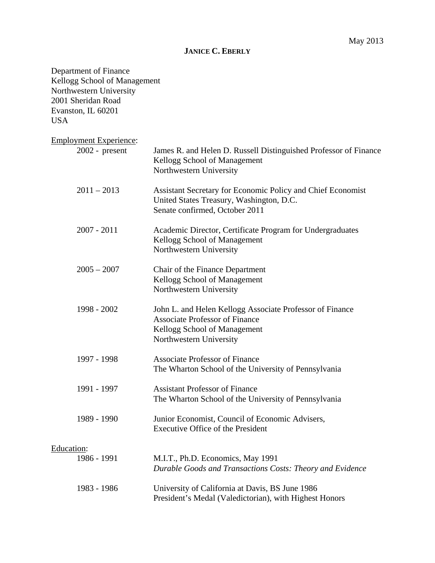# **JANICE C. EBERLY**

| Department of Finance<br>Kellogg School of Management<br>Northwestern University<br>2001 Sheridan Road<br>Evanston, IL 60201<br><b>USA</b> |                                                                                                                                                                      |
|--------------------------------------------------------------------------------------------------------------------------------------------|----------------------------------------------------------------------------------------------------------------------------------------------------------------------|
| <b>Employment Experience:</b><br>$2002$ - present                                                                                          | James R. and Helen D. Russell Distinguished Professor of Finance<br>Kellogg School of Management                                                                     |
| $2011 - 2013$                                                                                                                              | Northwestern University<br>Assistant Secretary for Economic Policy and Chief Economist<br>United States Treasury, Washington, D.C.<br>Senate confirmed, October 2011 |
| $2007 - 2011$                                                                                                                              | Academic Director, Certificate Program for Undergraduates<br>Kellogg School of Management<br>Northwestern University                                                 |
| $2005 - 2007$                                                                                                                              | Chair of the Finance Department<br>Kellogg School of Management<br>Northwestern University                                                                           |
| 1998 - 2002                                                                                                                                | John L. and Helen Kellogg Associate Professor of Finance<br><b>Associate Professor of Finance</b><br>Kellogg School of Management<br>Northwestern University         |
| 1997 - 1998                                                                                                                                | <b>Associate Professor of Finance</b><br>The Wharton School of the University of Pennsylvania                                                                        |
| 1991 - 1997                                                                                                                                | <b>Assistant Professor of Finance</b><br>The Wharton School of the University of Pennsylvania                                                                        |
| 1989 - 1990                                                                                                                                | Junior Economist, Council of Economic Advisers,<br><b>Executive Office of the President</b>                                                                          |
| Education:<br>1986 - 1991                                                                                                                  | M.I.T., Ph.D. Economics, May 1991<br>Durable Goods and Transactions Costs: Theory and Evidence                                                                       |
| 1983 - 1986                                                                                                                                | University of California at Davis, BS June 1986<br>President's Medal (Valedictorian), with Highest Honors                                                            |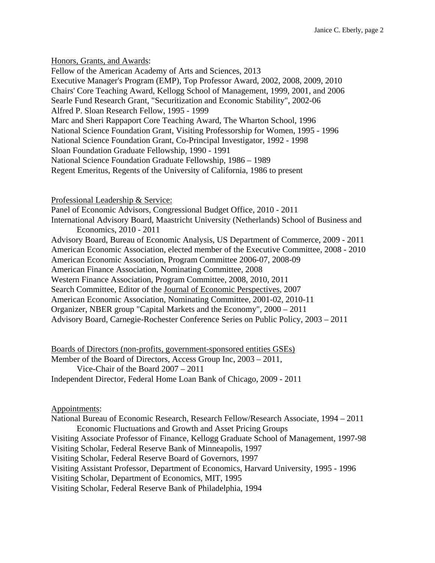Honors, Grants, and Awards: Fellow of the American Academy of Arts and Sciences, 2013 Executive Manager's Program (EMP), Top Professor Award, 2002, 2008, 2009, 2010 Chairs' Core Teaching Award, Kellogg School of Management, 1999, 2001, and 2006 Searle Fund Research Grant, "Securitization and Economic Stability", 2002-06 Alfred P. Sloan Research Fellow, 1995 - 1999 Marc and Sheri Rappaport Core Teaching Award, The Wharton School, 1996 National Science Foundation Grant, Visiting Professorship for Women, 1995 - 1996 National Science Foundation Grant, Co-Principal Investigator, 1992 - 1998 Sloan Foundation Graduate Fellowship, 1990 - 1991 National Science Foundation Graduate Fellowship, 1986 – 1989 Regent Emeritus, Regents of the University of California, 1986 to present

Professional Leadership & Service:

Panel of Economic Advisors, Congressional Budget Office, 2010 - 2011

International Advisory Board, Maastricht University (Netherlands) School of Business and Economics, 2010 - 2011

Advisory Board, Bureau of Economic Analysis, US Department of Commerce, 2009 - 2011

American Economic Association, elected member of the Executive Committee, 2008 - 2010 American Economic Association, Program Committee 2006-07, 2008-09

American Finance Association, Nominating Committee, 2008

Western Finance Association, Program Committee, 2008, 2010, 2011

Search Committee, Editor of the Journal of Economic Perspectives, 2007

American Economic Association, Nominating Committee, 2001-02, 2010-11

Organizer, NBER group "Capital Markets and the Economy", 2000 – 2011

Advisory Board, Carnegie-Rochester Conference Series on Public Policy, 2003 – 2011

Boards of Directors (non-profits, government-sponsored entities GSEs) Member of the Board of Directors, Access Group Inc, 2003 – 2011, Vice-Chair of the Board 2007 – 2011 Independent Director, Federal Home Loan Bank of Chicago, 2009 - 2011

Appointments:

National Bureau of Economic Research, Research Fellow/Research Associate, 1994 – 2011 Economic Fluctuations and Growth and Asset Pricing Groups Visiting Associate Professor of Finance, Kellogg Graduate School of Management, 1997-98 Visiting Scholar, Federal Reserve Bank of Minneapolis, 1997 Visiting Scholar, Federal Reserve Board of Governors, 1997 Visiting Assistant Professor, Department of Economics, Harvard University, 1995 - 1996 Visiting Scholar, Department of Economics, MIT, 1995 Visiting Scholar, Federal Reserve Bank of Philadelphia, 1994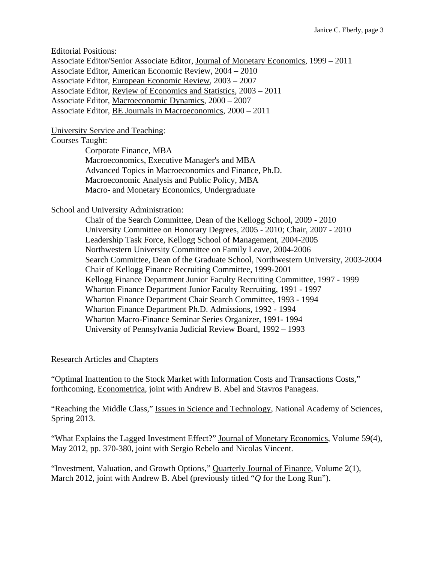Editorial Positions:

Associate Editor/Senior Associate Editor, Journal of Monetary Economics, 1999 – 2011 Associate Editor, American Economic Review, 2004 – 2010 Associate Editor, European Economic Review, 2003 – 2007 Associate Editor, Review of Economics and Statistics, 2003 – 2011 Associate Editor, Macroeconomic Dynamics, 2000 – 2007 Associate Editor, BE Journals in Macroeconomics, 2000 – 2011

University Service and Teaching:

### Courses Taught:

 Corporate Finance, MBA Macroeconomics, Executive Manager's and MBA Advanced Topics in Macroeconomics and Finance, Ph.D. Macroeconomic Analysis and Public Policy, MBA Macro- and Monetary Economics, Undergraduate

School and University Administration:

 Chair of the Search Committee, Dean of the Kellogg School, 2009 - 2010 University Committee on Honorary Degrees, 2005 - 2010; Chair, 2007 - 2010 Leadership Task Force, Kellogg School of Management, 2004-2005 Northwestern University Committee on Family Leave, 2004-2006 Search Committee, Dean of the Graduate School, Northwestern University, 2003-2004 Chair of Kellogg Finance Recruiting Committee, 1999-2001 Kellogg Finance Department Junior Faculty Recruiting Committee, 1997 - 1999 Wharton Finance Department Junior Faculty Recruiting, 1991 - 1997 Wharton Finance Department Chair Search Committee, 1993 - 1994 Wharton Finance Department Ph.D. Admissions, 1992 - 1994 Wharton Macro-Finance Seminar Series Organizer, 1991- 1994 University of Pennsylvania Judicial Review Board, 1992 – 1993

## Research Articles and Chapters

"Optimal Inattention to the Stock Market with Information Costs and Transactions Costs," forthcoming, Econometrica, joint with Andrew B. Abel and Stavros Panageas.

"Reaching the Middle Class," Issues in Science and Technology, National Academy of Sciences, Spring 2013.

"What Explains the Lagged Investment Effect?" Journal of Monetary Economics, Volume 59(4), May 2012, pp. 370-380, joint with Sergio Rebelo and Nicolas Vincent.

"Investment, Valuation, and Growth Options," Quarterly Journal of Finance, Volume 2(1), March 2012, joint with Andrew B. Abel (previously titled "*Q* for the Long Run").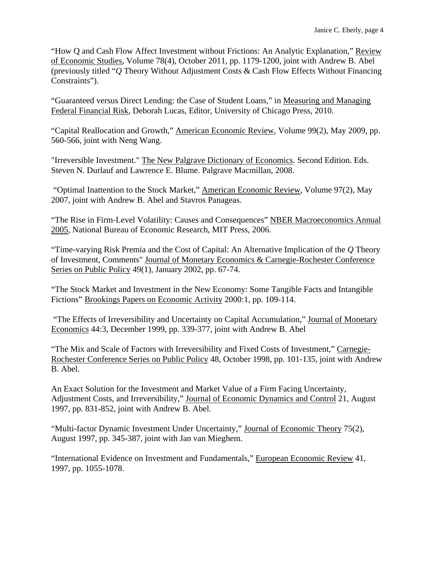"How Q and Cash Flow Affect Investment without Frictions: An Analytic Explanation," Review of Economic Studies, Volume 78(4), October 2011, pp. 1179-1200, joint with Andrew B. Abel (previously titled "*Q* Theory Without Adjustment Costs & Cash Flow Effects Without Financing Constraints").

"Guaranteed versus Direct Lending: the Case of Student Loans," in Measuring and Managing Federal Financial Risk, Deborah Lucas, Editor, University of Chicago Press, 2010.

"Capital Reallocation and Growth," American Economic Review, Volume 99(2), May 2009, pp. 560-566, joint with Neng Wang.

"Irreversible Investment." The New Palgrave Dictionary of Economics. Second Edition. Eds. Steven N. Durlauf and Lawrence E. Blume. Palgrave Macmillan, 2008.

 "Optimal Inattention to the Stock Market," American Economic Review, Volume 97(2), May 2007, joint with Andrew B. Abel and Stavros Panageas.

"The Rise in Firm-Level Volatility: Causes and Consequences" NBER Macroeconomics Annual 2005, National Bureau of Economic Research, MIT Press, 2006.

"Time-varying Risk Premia and the Cost of Capital: An Alternative Implication of the *Q* Theory of Investment, Comments" Journal of Monetary Economics & Carnegie-Rochester Conference Series on Public Policy 49(1), January 2002, pp. 67-74.

"The Stock Market and Investment in the New Economy: Some Tangible Facts and Intangible Fictions" Brookings Papers on Economic Activity 2000:1, pp. 109-114.

 "The Effects of Irreversibility and Uncertainty on Capital Accumulation," Journal of Monetary Economics 44:3, December 1999, pp. 339-377, joint with Andrew B. Abel

"The Mix and Scale of Factors with Irreversibility and Fixed Costs of Investment," Carnegie-Rochester Conference Series on Public Policy 48, October 1998, pp. 101-135, joint with Andrew B. Abel.

An Exact Solution for the Investment and Market Value of a Firm Facing Uncertainty, Adjustment Costs, and Irreversibility," Journal of Economic Dynamics and Control 21, August 1997, pp. 831-852, joint with Andrew B. Abel.

"Multi-factor Dynamic Investment Under Uncertainty," Journal of Economic Theory 75(2), August 1997, pp. 345-387, joint with Jan van Mieghem.

"International Evidence on Investment and Fundamentals," European Economic Review 41, 1997, pp. 1055-1078.